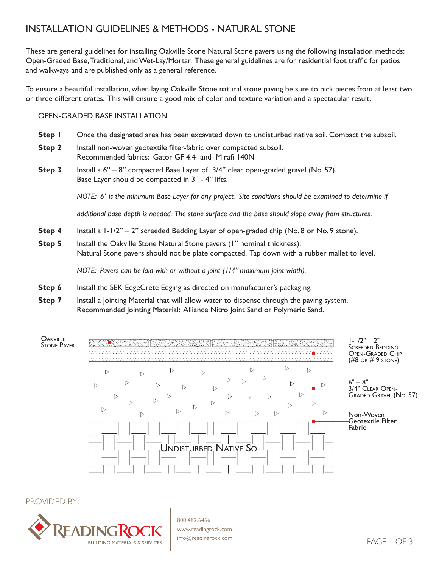# INSTALLATION GUIDELINES & METHODS - NATURAL STONE

These are general guidelines for installing Oakville Stone Natural Stone pavers using the following installation methods: Open-Graded Base, Traditional, and Wet-Lay/Mortar. These general guidelines are for residential foot traffic for patios and walkways and are published only as a general reference.

To ensure a beautiful installation, when laying Oakville Stone natural stone paving be sure to pick pieces from at least two or three different crates. This will ensure a good mix of color and texture variation and a spectacular result.

### OPEN-GRADED BASE INSTALLATION

- **Step I** Once the designated area has been excavated down to undisturbed native soil, Compact the subsoil.
- **Step 2** Install non-woven geotextile filter-fabric over compacted subsoil. Recommended fabrics: Gator GF 4.4 and Mirafi 140N
- **Step 3** Install a 6" 8" compacted Base Layer of 3/4" clear open-graded gravel (No. 57). Base Layer should be compacted in 3" - 4" lifts.

*NOTE: 6" is the minimum Base Layer for any project. Site conditions should be examined to determine if* 

*additional base depth is needed. The stone surface and the base should slope away from structures.*

- **Step 4** Install a  $1-1/2$ " 2" screeded Bedding Layer of open-graded chip (No. 8 or No. 9 stone).
- **Step 5** Install the Oakville Stone Natural Stone pavers (1" nominal thickness). Natural Stone pavers should not be plate compacted. Tap down with a rubber mallet to level.

*NOTE: Pavers can be laid with or without a joint (1/4" maximum joint width).*

- **Step 6** Install the SEK EdgeCrete Edging as directed on manufacturer's packaging.
- **Step 7** Install a Jointing Material that will allow water to dispense through the paving system. Recommended Jointing Material: Alliance Nitro Joint Sand or Polymeric Sand.



PROVIDED BY:



800.482.6466 www.readingrock.com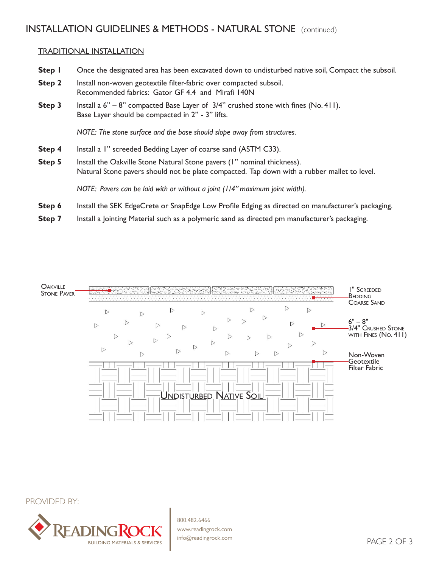## INSTALLATION GUIDELINES & METHODS - NATURAL STONE (continued)

### TRADITIONAL INSTALLATION

- **Step I** Once the designated area has been excavated down to undisturbed native soil, Compact the subsoil.
- **Step 2** Install non-woven geotextile filter-fabric over compacted subsoil. Recommended fabrics: Gator GF 4.4 and Mirafi 140N
- **Step 3** Install a 6" 8" compacted Base Layer of 3/4" crushed stone with fines (No. 411). Base Layer should be compacted in 2" - 3" lifts.

*NOTE: The stone surface and the base should slope away from structures.*

- **Step 4** Install a 1" screeded Bedding Layer of coarse sand (ASTM C33).
- **Step 5** Install the Oakville Stone Natural Stone pavers (1" nominal thickness). Natural Stone pavers should not be plate compacted. Tap down with a rubber mallet to level.

*NOTE: Pavers can be laid with or without a joint (1/4" maximum joint width).*

- **Step 6** Install the SEK EdgeCrete or SnapEdge Low Profile Edging as directed on manufacturer's packaging.
- **Step 7** Install a Jointing Material such as a polymeric sand as directed pm manufacturer's packaging.



PROVIDED BY:



800.482.6466 www.readingrock.com